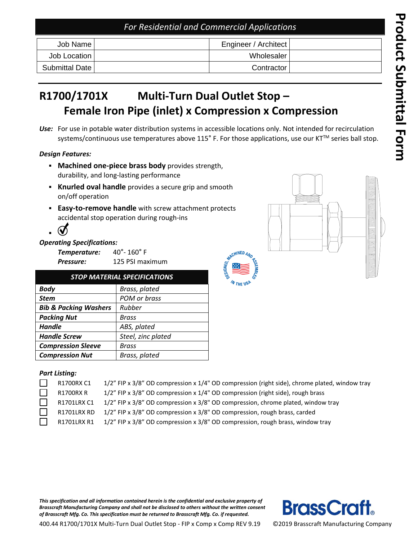## *For Residential and Commercial Applications*

| Job Name I     | Engineer / Architect |  |
|----------------|----------------------|--|
| Job Location   | Wholesaler           |  |
| Submittal Date | Contractor           |  |

### **R 1700/ 1701 X** Multi-Turn Dual Outlet Stop – **Female Iron Pipe (inlet) x Compression x Compression**

Use: For use in potable water distribution systems in accessible locations only. Not intended for recirculation systems/continuous use temperatures above 115° F. For those applications, use our KT™ series ball stop.

 $c$ HINED  $a$ 

#### *Design Features:*

- **Machined one-piece brass body** provides strength, durability , and long -lasting performance
- **Knurled oval handle** provides a secure grip and smooth on/off operation
- **Easy-to-remove handle** with screw attachment protects accidental stop operation during rough -ins

#### *Operating Specifications:*

**Temperature:**  $^{\circ}$ - 160 $^{\circ}$  F *Pressure:* 125 PSI maximum

| <b>STOP MATERIAL SPECIFICATIONS</b> |                    |  |  |  |
|-------------------------------------|--------------------|--|--|--|
| <b>Body</b>                         | Brass, plated      |  |  |  |
| <b>Stem</b>                         | POM or brass       |  |  |  |
| <b>Bib &amp; Packing Washers</b>    | Rubber             |  |  |  |
| <b>Packing Nut</b>                  | Brass              |  |  |  |
| <b>Handle</b>                       | ABS, plated        |  |  |  |
| <b>Handle Screw</b>                 | Steel, zinc plated |  |  |  |
| <b>Compression Sleeve</b>           | Brass              |  |  |  |
| <b>Compression Nut</b>              | Brass, plated      |  |  |  |

#### *Part Listing:*

| R1700RX C1  | 1/2" FIP x 3/8" OD compression x 1/4" OD compression (right side), chrome plated, window tray |
|-------------|-----------------------------------------------------------------------------------------------|
| R1700RX R   | 1/2" FIP x 3/8" OD compression x 1/4" OD compression (right side), rough brass                |
| R1701LRX C1 | 1/2" FIP x 3/8" OD compression x 3/8" OD compression, chrome plated, window tray              |
| R1701LRX RD | 1/2" FIP x 3/8" OD compression x 3/8" OD compression, rough brass, carded                     |
| R1701LRX R1 | 1/2" FIP x 3/8" OD compression x 3/8" OD compression, rough brass, window tray                |

*This specification and all information contained herein is the confidential and exclusive property of Brass craft Manufacturing Company and shall not be disclosed to others without the written consent of Brass craft Mfg. Co. This specification must be returned to Brass craft Mfg. Co. if requested.*





400.44 R1700/1701X Multi-Turn Dual Outlet Stop - FIP x Comp x Comp REV 9.19

©20 1 9 Brass craft Manufacturing Company